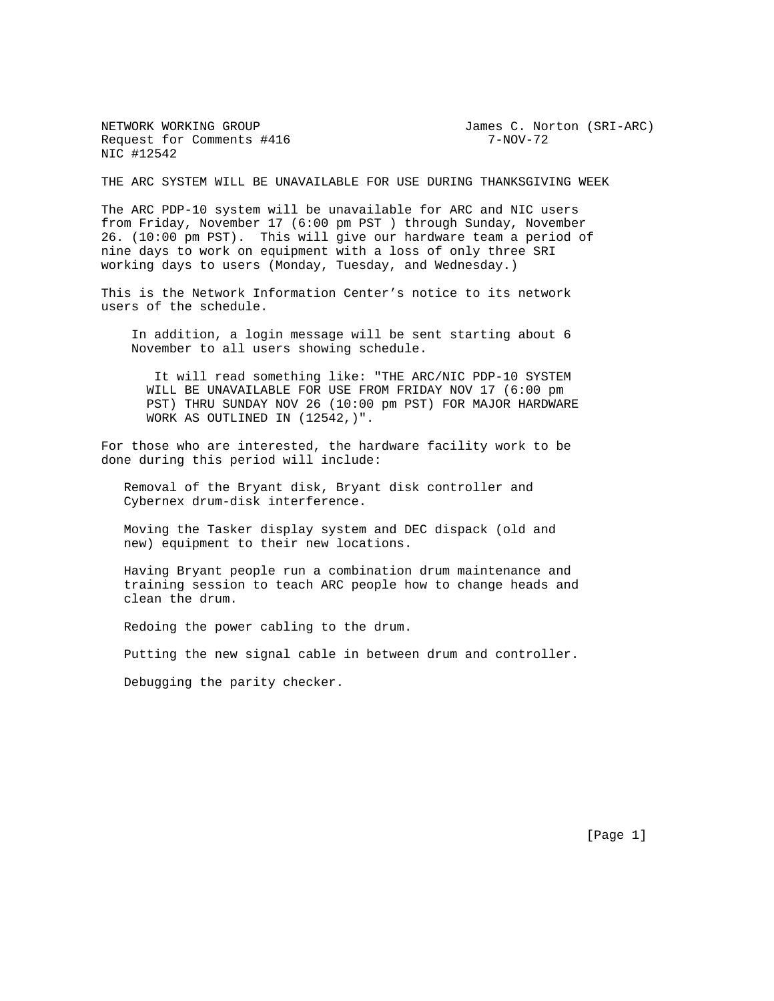Request for Comments #416 7-NOV-72 NIC #12542

NETWORK WORKING GROUP **Fig. 10** James C. Norton (SRI-ARC)

THE ARC SYSTEM WILL BE UNAVAILABLE FOR USE DURING THANKSGIVING WEEK

The ARC PDP-10 system will be unavailable for ARC and NIC users from Friday, November 17 (6:00 pm PST ) through Sunday, November 26. (10:00 pm PST). This will give our hardware team a period of nine days to work on equipment with a loss of only three SRI working days to users (Monday, Tuesday, and Wednesday.)

This is the Network Information Center's notice to its network users of the schedule.

 In addition, a login message will be sent starting about 6 November to all users showing schedule.

 It will read something like: "THE ARC/NIC PDP-10 SYSTEM WILL BE UNAVAILABLE FOR USE FROM FRIDAY NOV 17 (6:00 pm PST) THRU SUNDAY NOV 26 (10:00 pm PST) FOR MAJOR HARDWARE WORK AS OUTLINED IN (12542,)".

For those who are interested, the hardware facility work to be done during this period will include:

 Removal of the Bryant disk, Bryant disk controller and Cybernex drum-disk interference.

 Moving the Tasker display system and DEC dispack (old and new) equipment to their new locations.

 Having Bryant people run a combination drum maintenance and training session to teach ARC people how to change heads and clean the drum.

Redoing the power cabling to the drum.

Putting the new signal cable in between drum and controller.

Debugging the parity checker.